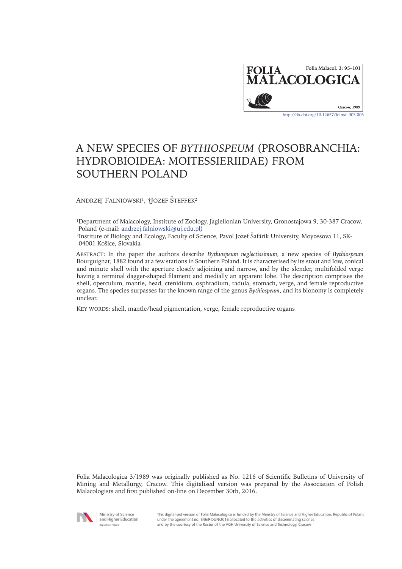

# A NEW SPECIES OF *BYTHIOSPEUM* (PROSOBRANCHIA: HYDROBIOIDEA: MOITESSIERIIDAE) FROM SOUTHERN POLAND

ANDRZEJ FALNIOWSKI<sup>1</sup>, †JOZEF ŠTEFFEK<sup>2</sup>

<sup>1</sup>Department of Malacology, Institute of Zoology, Jagiellonian University, Gronostajowa 9, 30-387 Cracow, Poland (e-mail: andrzej.falniowski@uj.edu.pl)

2Institute of Biology and Ecology, Faculty of Science, Pavol Jozef Šafárik University, Moyzesova 11, SK-04001 Košice, Slovakia

Abstract: In the paper the authors describe *Bythiospeum neglectissimum*, a new species of *Bythiospeum* Bourguignat, 1882 found at a few stations in Southern Poland. It is characterised by its stout and Iow, conical and minute shell with the aperture closely adjoining and narrow, and by the slender, multifolded verge having a terminal dagger-shaped filament and medially an apparent lobe. The description comprises the shell, operculum, mantle, head, ctenidium, osphradium, radula, stomach, verge, and female reproductive organs. The species surpasses far the known range of the genus *Bythiospeum*, and its bionomy is completely unclear.

KEY WORDS: shell, mantle/head pigmentation, verge, female reproductive organs

Folia Malacologica 3/1989 was originally published as No. 1216 of Scientific Bulletins of University of Mining and Metallurgy, Cracow. This digitalised version was prepared by the Association of Polish Malacologists and first published on-line on December 30th, 2016.



Ministry of Science and Higher Education **Popublic of Poland** 

This digitalised version of Folia Malacologica is funded by the Ministry of Science and Higher Education, Republic of Poland under the agreement no. 646/P-DUN/2016 allocated to the activities of disseminating science and by the courtesy of the Rector of the AGH University of Science and Technology, Cracow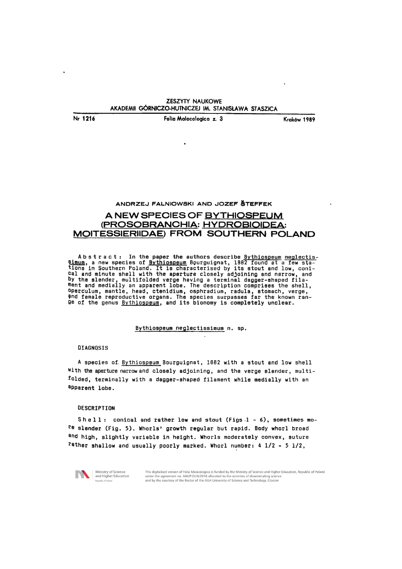Nr 1216 Folia Malaeologiea z. 3 Krak6w 1989

l,

### ANDRZEJ FALNIOWSKI AND JOZEF ŠTEFFEK

# A NEW SPECIES OF BYTHIOSPEUM (PROSOBRANCHIA: HYDROBIOIDEA: MOITESSIERIIDAE) FROM SOUTHERN POLAND

Abstract: In the paper the authors describe <u>8ythiospeum neglectis-simum</u>, a new species of <u>Bythiospeum</u> Bourguignat, 1882 found at a few stations in Southern Poland. It is characterised by its stout and low, conical and minute shell with the aperture closely adjoining and narrow, and by the slender, multifolded verge having a terminal dagger-shaped filament and medially an apparent lobe. The description comprises the shell, operculum, mantle, head, ctenidium, osphradium, radula, stomach, verge, 9nd female reproductive organs. The species surpasses far the known range of the genus <u>Bythiospeum</u>, and its bionomy is completely unclear.

#### Bythiospeum neglectissimum n. sp.

#### **DIAGNOSIS**

A species of Bythiospeum Bourguignat, 1882 with a stout and low shell With the aperture narrow and closely adjoining, and the verge slender, multifolded, terminally with a dagger-shaped filament while medially with an apparent lobe.

#### DESCRIPTION

Shell: conical and rather low and stout (Figs 1 - 6), sometimes more slender (Fig. 5). Whorls' growth regular but rapid. Body whorl broad and high, slightly variable in height. Whorls moderately convex, suture rather shallow and usually poorly marked. Whorl number: 4 1/2 - 5 1/2,



This digitalised version of Folia Malacologica is funded by the Ministry of Science and Higher Education. Republic of Poland under the agreement no. 646/P-DUN/2016 allocated to the activities of disseminating science and by the courtesy of the Rector of the AGH University of Science and Technology, Cracow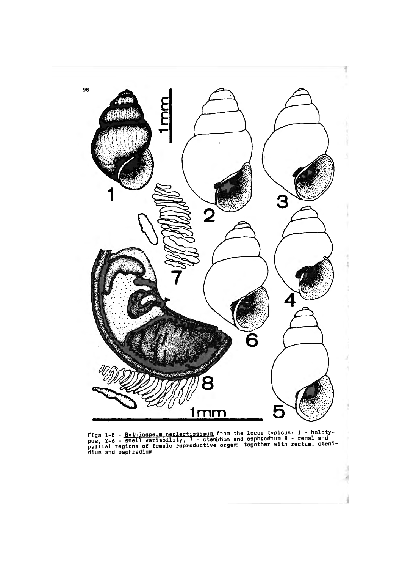

Figs l-8 - Bythiospeum neglectissimum from the locus typicus: 1 - holotyrigs i-o - <u>bythiqspedminesizes is the minitive and</u> osphradium 8 - renal and<br>pus, 2-6 - shell variability, 7 - ctenidium and osphradium 8 - renal and<br>pallial regions of female reproductive organs together with rectum, cte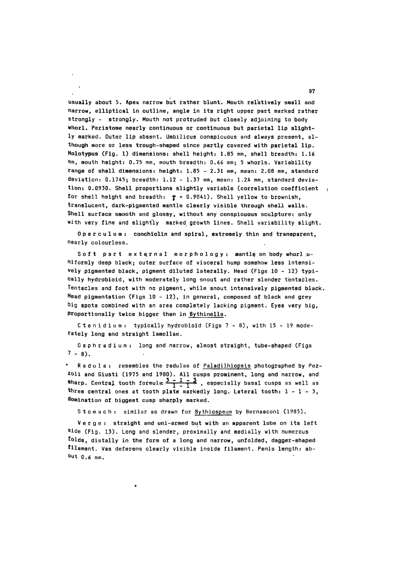<sup>97</sup>. usually about 5. Apex narrow but rather blunt. Mouth relatively small and narrow, elliptical in outline, angle in its right upper part marked rather strongly - strongly. Mouth not protruded but closely adjoining to body whorl. Peristome nearly continuous or continuous but parietal lip slightly marked. Outer lip absent. Umbilicus conspicuous and always present, although more or less trough-shaped since partly covered with parietal lip. Holotypus (Fig. 1) dimensions: shell height: 1.85 mm, shell breadth: 1.16 mm, mouth height: 0.75 mm, mouth breadth: 0.66 mm; 5 whorls. Variability range of shell dimensions: height: 1.85 - 2.31 mm, mean: 2.08 mm, standard deviation:  $0.1745$ ; breadth:  $1.12 - 1.37$  mm, mean:  $1.24$  mm, standard deviation: 0. 0930. Shell proportions slightly variable (correlation coefficient for shell height and breadth:  $\tau = 0.9041$ ). Shell yellow to brownish, translucent, dark-pigmented mantle clearly visible through shell walls. Shell surface smooth and glossy, without any conspicuous sculpture: only with very fine and slightly marked growth lines. Shell variability slight.

Operculum: conchiolin and spiral, extremely thin and transparent, nearly colourless.

Soft part external morphology: mantle on body whorl uniformly deep black; outer surface of visceral hump somehow less intensi-Vely pigmented black, pigment diluted laterally. Head (Figs 10 - 12) typically hydrobioid, with moderately long snout and rather slender tentacles. Tentacles and foot with no pigment, while snout intensively pigmented black. Head pigmentation (Figs  $10 - 12$ ), in general, composed of black and grey big spots combined with an area completely lacking pigment. Eyes very big, Proportionally twice bigger than in Bythinella.

C tenidium: typically hydrobioid (Figs  $7 - 8$ ), with 15 - 19 moderately long and straight lamellae.

0 s ph radium: long and narrow, almost straight, tube-shaped (Figs  $7 - 8$ .

Radula: resembles the radulae of Paladilhiopsis photographed by Pez-20li and Giusti (1975 and 1980). All cusps prominent, long and narrow, and **Sharp.** Central tooth formula:  $\frac{3-1}{1} - \frac{3}{1}$ , especially basal cusps as well as three central ones at tooth plate markedly long. Lateral tooth:  $1 - 1 - 3$ , domination of biggest cusp sharply marked.

Stomach : similar as drawn for Bythiospeum by Bernasconi (1985).

Verge: straight and uni-armed but with an apparent lobe on its left <sup>8</sup> ide (Fig. 13). Long and slender, proximally and medially with numerous folds, distally in the form of a long and narrow, unfolded, dagger-shaped filament. Vas deferens clearly visible inside filament. Penis length: about 0.6 mm.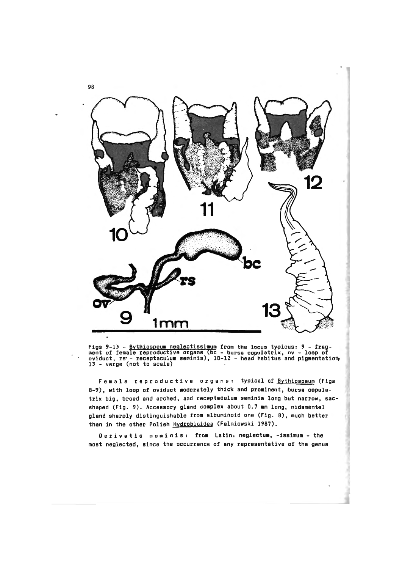

Figs 9-13 - Bythiospeum neg1ectissimum from the locus typicus: *9* - frag-....<br>ment of female reproductive organs (bc - bursa copulatrix, ov - loop of<br>oviduct, rs - receptaculum seminis), 10-12 - head habitus and pigmentation 13 - verge (not to scale)

Female reproductive organs: typical of Bythiospeum (Figs 8-9), with loop of oviduct moderately thick and prominent, bursa copulatrix big, broad and arched, and receptaculum seminis long but narrow, sacshaped (Fig. 9). Accessory gland complex about 0.7 mm long, nidamental gland sharply distinguishable from albuminoid one (Fig. 8), much better than in the other Polish Hydrobioidea (Falniowski 1987).

Derivatio nominis: from Latin: neglectum, -issimum - the most neglected, since the occurrence of any representative of the genus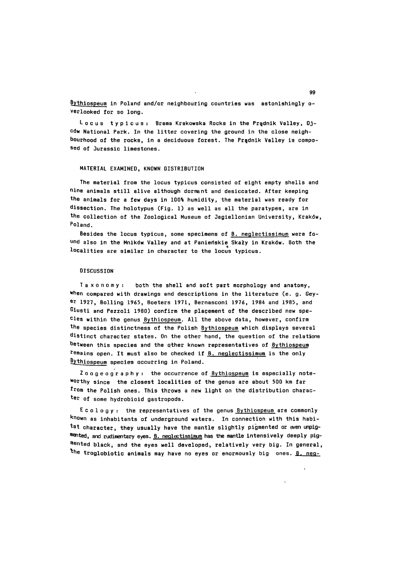$Bythiospeum in Poland and/or neighboring countries was astonishingly o-$ </u> verlooked for so long.

Locus typicus: Brama Krakowska Rocks in the Pradnik Valley, 0jców National Park. In the litter covering the ground in the close neighbourhood of the rocks, in a deciduous forest. The Prqdnik Valley is composed of Jurassic limestones.

#### MATERIAL EXAMINED, KNOWN DISTRIBUTION

The material from the locus typicus consisted of eight empty shells and nine animals still alive although dormant and desiccated. After keeping the animals for a few days in 100% humidity, the material was ready for dissection. The holotypus (Fig. 1) as well as all the paratypes, are in the collection of the Zoological Museum of Jagiellonian University, Krak6w, Poland.

Besides the locus typicus, some specimens of B. neglectissimum were found also in the Mników Valley and at Panieńskie Skały in Kraków. Both the localities are similar in character to the locus typicus.

#### **DISCUSSION**

Taxonomy: both the shell and soft part morphology and anatomy, When compared with drawings and descriptions in the literature (e. g. Gayer 1927, Balling 1965, Boaters 1971, Bernasconi 1976, 1984 and 1985, and Giusti and Pezzoli 1980) confirm the placement of the described new spe-Cies within the genus Bythiospeum. All the above data, however, confirm the species distinctness of the Polish Bythiospeum which displays several distinct character states. On the other hand, the question of the relations between this species and the qther known representatives of Bythiospeum remains open. It must also be checked if  $B$ . neglectissimum is the only Bythiospeum species occurring in Poland.

Zoogeography: the occurrence of Bythiospeum is especially note-Worthy since the closest localities of the genus are about 500 km far  ${\tt from}$  the Polish ones. This throws a new light on the distribution character of some hydrobioid gastropods.

 $E$  c o  $l$  o g  $y$  : the representatives of the genus  $B$ ythiospeum are commonly known as inhabitants of underground waters. In connection with this habitat character, they usually have the mantle slightly pigmented or even unpigmented, and rudimentary eyes.  $B.$  neglectissimum has the mantle intensively deeply pigmented black, and the eyes well developed, relatively very big. In general, the troglobiotic animals may have no eyes or enormously big ones.  $B_n$  neg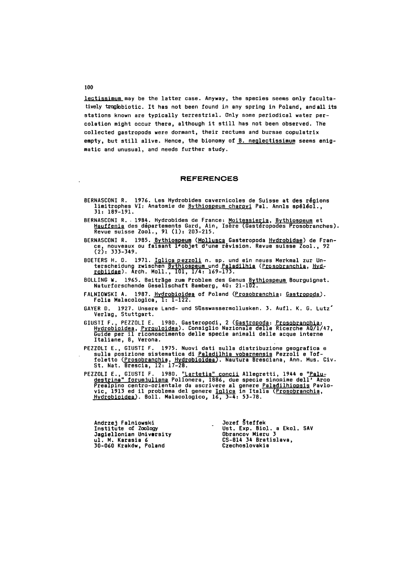lectissimum may be the latter case. Anyway, the species seems only facultatively troglobiotic. It has not been found in any spring in Poland, and all its stations known are typically terrestrial. Only some periodical water percolation might occur there, although it still has not been observed. The collected gastropods were dormant, their rectums and bursae copulatrix empty, but still alive. Hence, the bionomy of B. neglectissimum seems enigmatic and unusual, and needs further study.

#### **REFERENCES**

- BERNASCONI R. 1976. Les Hydrobides cavernicoles de Suisse at des régions<br>limitrophes VI: Anatomie de <u>Bythiospeum charpyi</u> Pal. Annls spéléol., 31: 189-191.
- BERNASCONI R. 1984. Hydrobides de France: <u>Moitessieria, Bythiospeum</u> et Hauffenia des départements Gard, Ain, Isère (Gastéropodes Prosobranches). Revue suisse Zool., 91 (1): 203-215.
- BERNASCONI R. 1985. <u>Bythiospeum</u> (<u>Mollusca</u> Gasteropoda <u>Hydrobidae</u>) de Fran-<br>ce, nouveaux ou faisant l'objet d'une révision. Revue suisse Zool., 92  $(2): 333-349.$
- 80ETERS H. D. 1971. Iglica pezzoli n. sp. und ein neues Merkmal zur Unterscheidung zwischen Bythiospeum und Paladilhia (Prosobranchia, Hydrobiidae). Arth. Moll., 101, 1/4: 169-173.
- 80LLING W. 1965. Beiträge zum Problem des Genus Bythiospeum Bourguignat.<br>Naturforschende Gesellschaft Bamberg, 40: 21-102.
- FALNIOWSKI A. 1987. Hydrobioidea of Poland (Prosobranchia: Gastropoda). Folia Malacologica, 1: 1-122.
- GAYER D. 1927. Unsere Land- und Süsswassermollusken. 3. Aufl. K. G. Lutz' Verlag, Stuttgart.
- GIUSTI F., PEZZOLI E. 1980. Gasteropodi, 2 (<u>Gastropoda</u>: Prosobranchia: Hydrobioidea, Pyrguloidea). Consiglio Nazionale delle Ricerche AQ/1/47, Guide per il riconoscimento delle specie animal! delle acque interne Italiane, 8, Verona.
- PEZZOLI E., GIUSTI F. 1975. Nuovi dati sulla distribuzione geografica e sulla posizione sistematica di <u>Paladilhia vobarnensis</u> Pezzoli e Toffoletto (Prosobranchia, Hydrobio:dea). Nautura Bresciana, Ann. Mus. Civ. St. Nat. Brescia, 12: 17-28.
- PEZZOLI E., GIUSTI F. 1980. <u>"Lartetia" concii</u> Allegretti, 1944 e <mark>"Palu-</mark> destrina" forumjuliana Pollonera, 1886, due specie sinonime dell' Arco Prealpino centro-orientale da ascrivere al genere <u>Paladilhiopsis</u> Pavlo-<br>vic, 1913 ed il problema del genere <u>Iglica</u> in Italia (<u>Prosobranchia,</u><br>Hydrobioidea). Boll. Malacologico, 16, 3-4: 53-78.

Andrzej Falniowski Institute of Zoology Jagiellonian University<br>ul. M. Karasia 6 30-060 Krak6w, Poland

Jozef §teffek Ust. Exp. Biol. a Ekol. SAV Obrancov Mieru 3 CS-814 34 Bratislava, Czechoslovakia

100